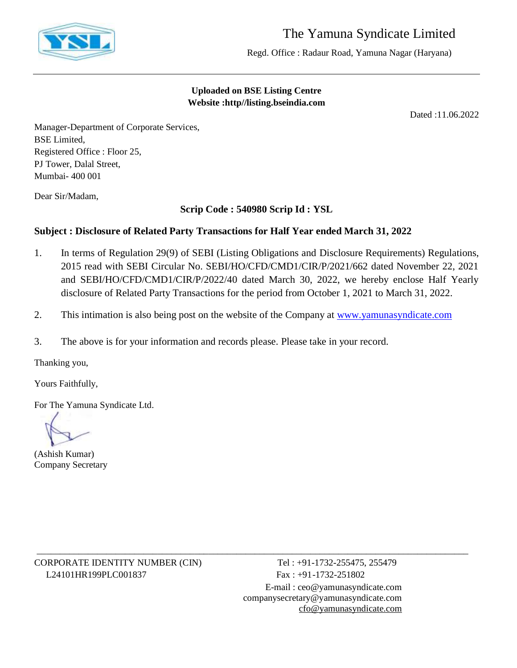

# The Yamuna Syndicate Limited

Regd. Office : Radaur Road, Yamuna Nagar (Haryana)

### **Uploaded on BSE Listing Centre Website :http//listing.bseindia.com**

Dated :11.06.2022

Manager-Department of Corporate Services, BSE Limited, Registered Office : Floor 25, PJ Tower, Dalal Street, Mumbai- 400 001

Dear Sir/Madam,

**Scrip Code : 540980 Scrip Id : YSL**

## **Subject : Disclosure of Related Party Transactions for Half Year ended March 31, 2022**

- 1. In terms of Regulation 29(9) of SEBI (Listing Obligations and Disclosure Requirements) Regulations, 2015 read with SEBI Circular No. SEBI/HO/CFD/CMD1/CIR/P/2021/662 dated November 22, 2021 and SEBI/HO/CFD/CMD1/CIR/P/2022/40 dated March 30, 2022, we hereby enclose Half Yearly disclosure of Related Party Transactions for the period from October 1, 2021 to March 31, 2022.
- 2. This intimation is also being post on the website of the Company at [www.yamunasyndicate.com](http://www.yamunasyndicate.com/)

\_\_\_\_\_\_\_\_\_\_\_\_\_\_\_\_\_\_\_\_\_\_\_\_\_\_\_\_\_\_\_\_\_\_\_\_\_\_\_\_\_\_\_\_\_\_\_\_\_\_\_\_\_\_\_\_\_\_\_\_\_\_\_\_\_\_\_\_\_\_\_\_\_\_\_\_\_\_\_\_\_\_\_\_\_\_\_\_\_\_\_\_\_

3. The above is for your information and records please. Please take in your record.

Thanking you,

Yours Faithfully,

For The Yamuna Syndicate Ltd.

(Ashish Kumar) Company Secretary

CORPORATE IDENTITY NUMBER (CIN) Tel : +91-1732-255475, 255479 L24101HR199PLC001837 Fax: +91-1732-251802

E-mail : [ceo@yamunasyndicate.com](mailto:ceo@yamunasyndicate.com) [companysecretary@yamunasyndicate.com](mailto:companysecretary@yamunasyndicate.com) [cfo@yamunasyndicate.com](mailto:cfo@yamunasyndicate.com)